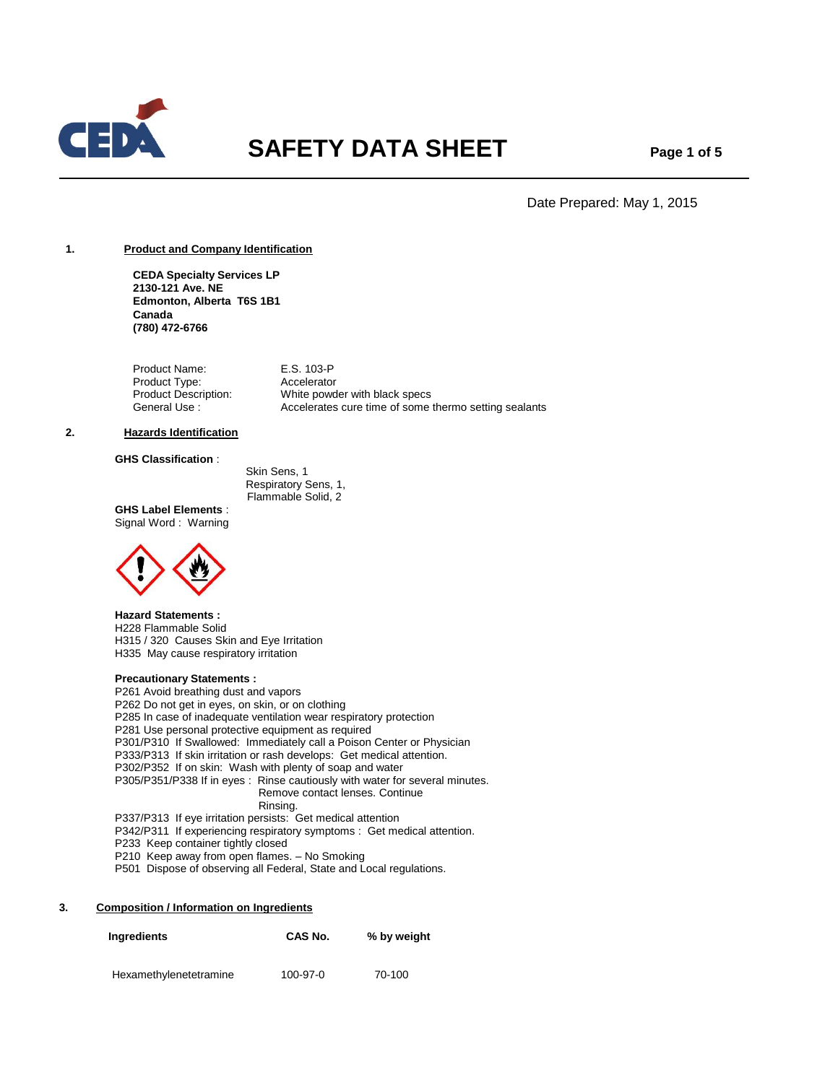

# **SAFETY DATA SHEET** Page 1 of 5

Date Prepared: May 1, 2015

# **1. Product and Company Identification**

**CEDA Specialty Services LP 2130-121 Ave. NE Edmonton, Alberta T6S 1B1 Canada (780) 472-6766**

Product Name: E.S. 103-P Product Type: Accelerator<br>Product Description: White powd White powder with black specs General Use : Accelerates cure time of some thermo setting sealants

## **2. Hazards Identification**

# **GHS Classification** :

 Skin Sens, 1 Respiratory Sens, 1, Flammable Solid, 2

**GHS Label Elements** : Signal Word : Warning



# **Hazard Statements :**

H228 Flammable Solid H315 / 320 Causes Skin and Eye Irritation H335 May cause respiratory irritation

# **Precautionary Statements :**

P261 Avoid breathing dust and vapors P262 Do not get in eyes, on skin, or on clothing P285 In case of inadequate ventilation wear respiratory protection P281 Use personal protective equipment as required P301/P310 If Swallowed: Immediately call a Poison Center or Physician P333/P313 If skin irritation or rash develops: Get medical attention. P302/P352 If on skin: Wash with plenty of soap and water P305/P351/P338 If in eyes : Rinse cautiously with water for several minutes. Remove contact lenses. Continue Rinsing. P337/P313 If eye irritation persists: Get medical attention P342/P311 If experiencing respiratory symptoms : Get medical attention.

- P233 Keep container tightly closed
- P210 Keep away from open flames. No Smoking
- P501 Dispose of observing all Federal, State and Local regulations.

## **3. Composition / Information on Ingredients**

| Ingredients            | CAS No.  | % by weight |
|------------------------|----------|-------------|
| Hexamethylenetetramine | 100-97-0 | 70-100      |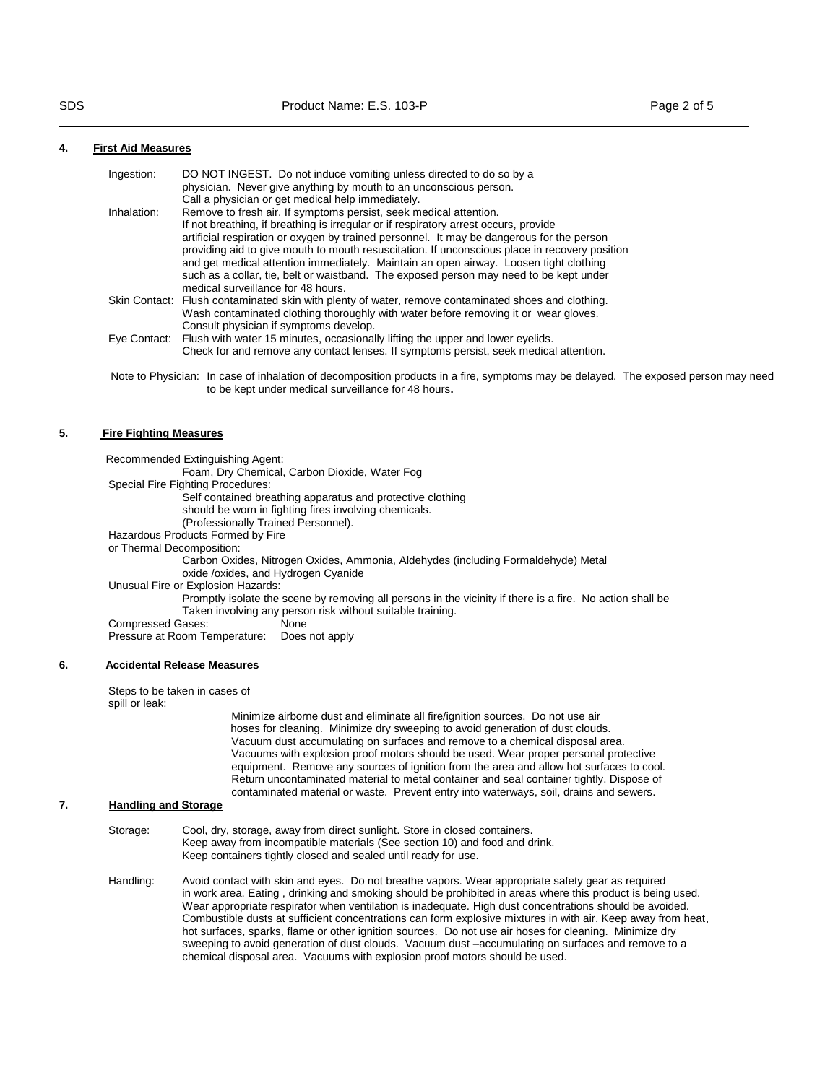to be kept under medical surveillance for 48 hours**.** 

# **4. First Aid Measures**

| Ingestion:   | DO NOT INGEST. Do not induce vomiting unless directed to do so by a                                 |
|--------------|-----------------------------------------------------------------------------------------------------|
|              | physician. Never give anything by mouth to an unconscious person.                                   |
|              | Call a physician or get medical help immediately.                                                   |
| Inhalation:  | Remove to fresh air. If symptoms persist, seek medical attention.                                   |
|              | If not breathing, if breathing is irregular or if respiratory arrest occurs, provide                |
|              | artificial respiration or oxygen by trained personnel. It may be dangerous for the person           |
|              | providing aid to give mouth to mouth resuscitation. If unconscious place in recovery position       |
|              | and get medical attention immediately. Maintain an open airway. Loosen tight clothing               |
|              | such as a collar, tie, belt or waistband. The exposed person may need to be kept under              |
|              | medical surveillance for 48 hours.                                                                  |
|              | Skin Contact: Flush contaminated skin with plenty of water, remove contaminated shoes and clothing. |
|              | Wash contaminated clothing thoroughly with water before removing it or wear gloves.                 |
|              | Consult physician if symptoms develop.                                                              |
| Eve Contact: | Flush with water 15 minutes, occasionally lifting the upper and lower eyelids.                      |
|              | Check for and remove any contact lenses. If symptoms persist, seek medical attention.               |

#### **5. Fire Fighting Measures**

| Recommended Extinguishing Agent:                                                                                                                                        |
|-------------------------------------------------------------------------------------------------------------------------------------------------------------------------|
| Foam, Dry Chemical, Carbon Dioxide, Water Fog                                                                                                                           |
| Special Fire Fighting Procedures:                                                                                                                                       |
| Self contained breathing apparatus and protective clothing                                                                                                              |
| should be worn in fighting fires involving chemicals.                                                                                                                   |
| (Professionally Trained Personnel).                                                                                                                                     |
| Hazardous Products Formed by Fire                                                                                                                                       |
| or Thermal Decomposition:                                                                                                                                               |
| Carbon Oxides, Nitrogen Oxides, Ammonia, Aldehydes (including Formaldehyde) Metal<br>oxide /oxides, and Hydrogen Cyanide                                                |
| Unusual Fire or Explosion Hazards:                                                                                                                                      |
| Promptly isolate the scene by removing all persons in the vicinity if there is a fire. No action shall be<br>Taken involving any person risk without suitable training. |
| Compressed Gases:<br>None                                                                                                                                               |
| Pressure at Room Temperature: Does not apply                                                                                                                            |
|                                                                                                                                                                         |

#### **6. Accidental Release Measures**

Steps to be taken in cases of spill or leak:

 Minimize airborne dust and eliminate all fire/ignition sources. Do not use air hoses for cleaning. Minimize dry sweeping to avoid generation of dust clouds. Vacuum dust accumulating on surfaces and remove to a chemical disposal area. Vacuums with explosion proof motors should be used. Wear proper personal protective equipment. Remove any sources of ignition from the area and allow hot surfaces to cool. Return uncontaminated material to metal container and seal container tightly. Dispose of contaminated material or waste. Prevent entry into waterways, soil, drains and sewers.

# **7. Handling and Storage**

- Storage: Cool, dry, storage, away from direct sunlight. Store in closed containers. Keep away from incompatible materials (See section 10) and food and drink. Keep containers tightly closed and sealed until ready for use.
- Handling: Avoid contact with skin and eyes. Do not breathe vapors. Wear appropriate safety gear as required in work area. Eating , drinking and smoking should be prohibited in areas where this product is being used. Wear appropriate respirator when ventilation is inadequate. High dust concentrations should be avoided. Combustible dusts at sufficient concentrations can form explosive mixtures in with air. Keep away from heat, hot surfaces, sparks, flame or other ignition sources. Do not use air hoses for cleaning. Minimize dry sweeping to avoid generation of dust clouds. Vacuum dust –accumulating on surfaces and remove to a chemical disposal area. Vacuums with explosion proof motors should be used.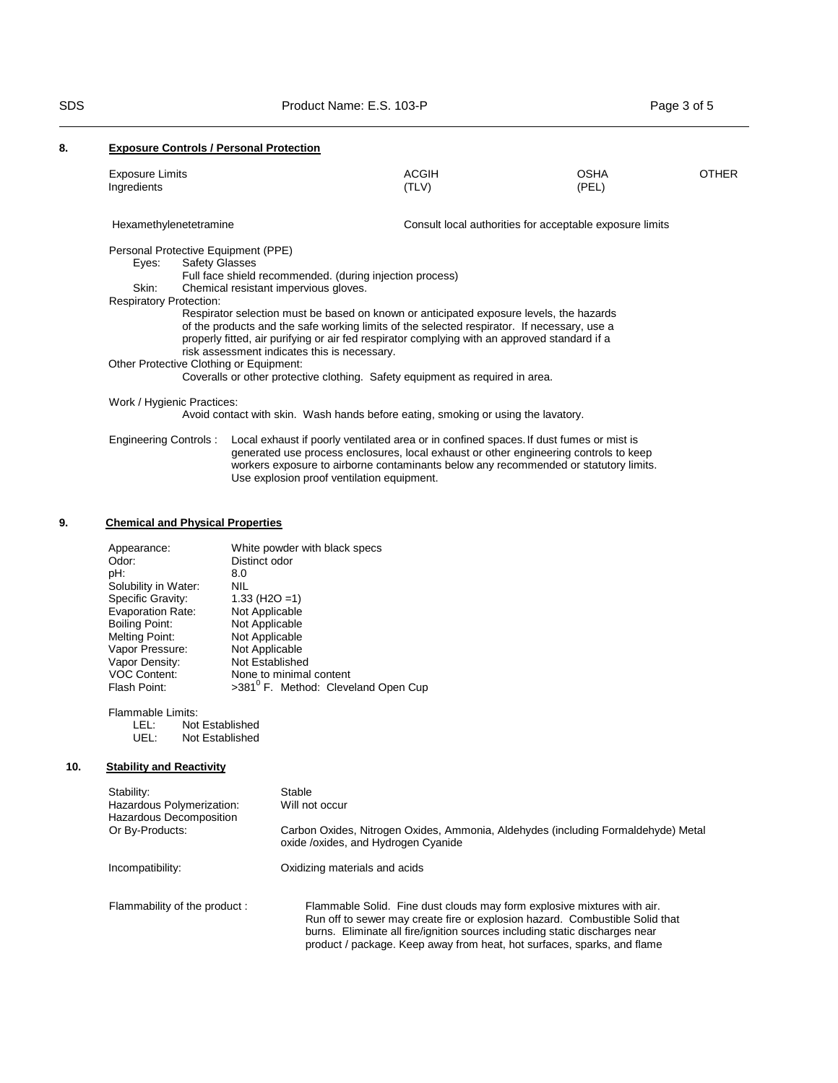Use explosion proof ventilation equipment.

# **8. Exposure Controls / Personal Protection**

| <b>Exposure Limits</b><br>Ingredients   |                                                                                               | <b>ACGIH</b><br>(TLV) | <b>OSHA</b><br>(PEL)                                     | <b>OTHER</b> |
|-----------------------------------------|-----------------------------------------------------------------------------------------------|-----------------------|----------------------------------------------------------|--------------|
| Hexamethylenetetramine                  |                                                                                               |                       | Consult local authorities for acceptable exposure limits |              |
| Personal Protective Equipment (PPE)     |                                                                                               |                       |                                                          |              |
| Eyes:                                   | <b>Safety Glasses</b>                                                                         |                       |                                                          |              |
|                                         | Full face shield recommended. (during injection process)                                      |                       |                                                          |              |
| Skin:                                   | Chemical resistant impervious gloves.                                                         |                       |                                                          |              |
| <b>Respiratory Protection:</b>          |                                                                                               |                       |                                                          |              |
|                                         | Respirator selection must be based on known or anticipated exposure levels, the hazards       |                       |                                                          |              |
|                                         | of the products and the safe working limits of the selected respirator. If necessary, use a   |                       |                                                          |              |
|                                         | properly fitted, air purifying or air fed respirator complying with an approved standard if a |                       |                                                          |              |
|                                         | risk assessment indicates this is necessary.                                                  |                       |                                                          |              |
| Other Protective Clothing or Equipment: |                                                                                               |                       |                                                          |              |
|                                         | Coveralls or other protective clothing. Safety equipment as required in area.                 |                       |                                                          |              |
| Work / Hygienic Practices:              |                                                                                               |                       |                                                          |              |
|                                         | Avoid contact with skin. Wash hands before eating, smoking or using the lavatory.             |                       |                                                          |              |
| Engineering Controls:                   | Local exhaust if poorly ventilated area or in confined spaces. If dust fumes or mist is       |                       |                                                          |              |
|                                         | generated use process enclosures, local exhaust or other engineering controls to keep         |                       |                                                          |              |

workers exposure to airborne contaminants below any recommended or statutory limits.

# **9. Chemical and Physical Properties**

| Appearance:              | White powder with black specs                   |
|--------------------------|-------------------------------------------------|
| Odor:                    | Distinct odor                                   |
| pH:                      | 8.0                                             |
| Solubility in Water:     | NIL                                             |
| Specific Gravity:        | $1.33$ (H <sub>2</sub> O = 1)                   |
| <b>Evaporation Rate:</b> | Not Applicable                                  |
| <b>Boiling Point:</b>    | Not Applicable                                  |
| Melting Point:           | Not Applicable                                  |
| Vapor Pressure:          | Not Applicable                                  |
| Vapor Density:           | Not Established                                 |
| <b>VOC Content:</b>      | None to minimal content                         |
| Flash Point:             | >381 <sup>°</sup> F. Method: Cleveland Open Cup |

Flammable Limits:<br>LEL: Not

LEL: Not Established<br>UEL: Not Established Not Established

# **10. Stability and Reactivity**

| Stability:<br>Hazardous Polymerization:<br>Hazardous Decomposition | Stable<br>Will not occur                                                                                                                                                                                                                                                                                          |
|--------------------------------------------------------------------|-------------------------------------------------------------------------------------------------------------------------------------------------------------------------------------------------------------------------------------------------------------------------------------------------------------------|
| Or By-Products:                                                    | Carbon Oxides, Nitrogen Oxides, Ammonia, Aldehydes (including Formaldehyde) Metal<br>oxide /oxides, and Hydrogen Cyanide                                                                                                                                                                                          |
| Incompatibility:                                                   | Oxidizing materials and acids                                                                                                                                                                                                                                                                                     |
| Flammability of the product:                                       | Flammable Solid. Fine dust clouds may form explosive mixtures with air.<br>Run off to sewer may create fire or explosion hazard. Combustible Solid that<br>burns. Eliminate all fire/ignition sources including static discharges near<br>product / package. Keep away from heat, hot surfaces, sparks, and flame |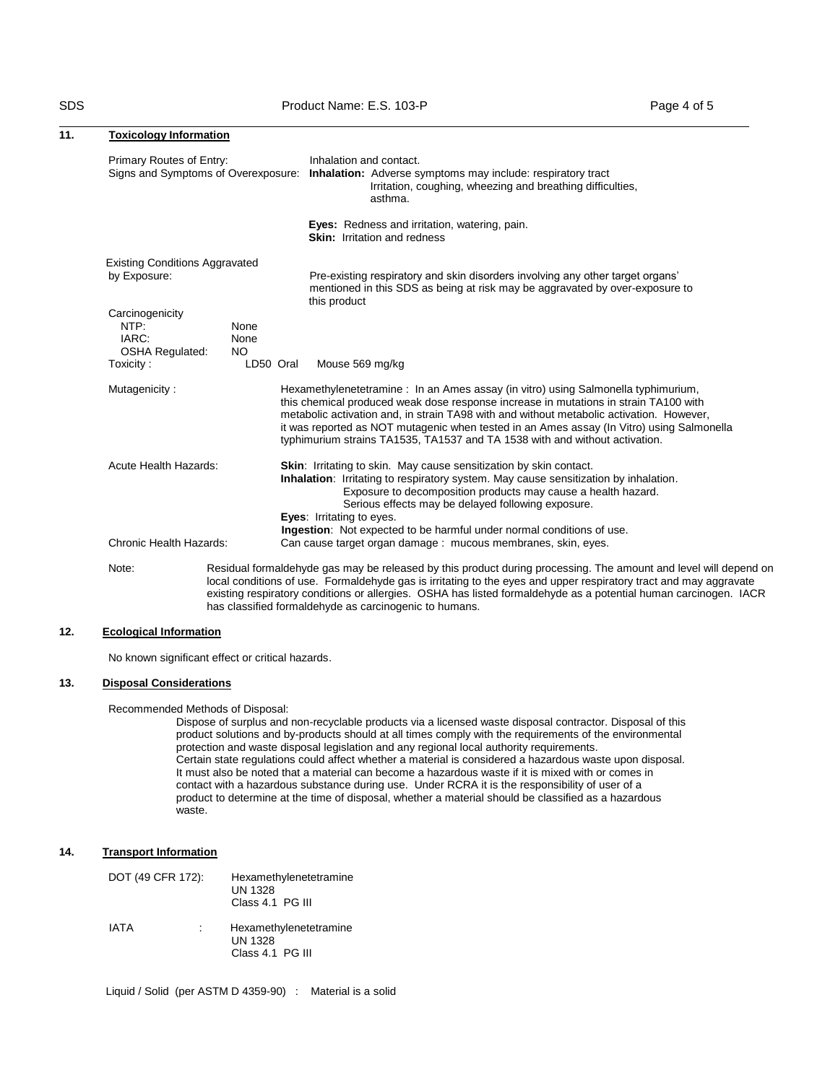has classified formaldehyde as carcinogenic to humans.

| 11. | <b>Toxicology Information</b>                              |                     |                                                                                                                                                                                                                                                                                                                                                                                                                                                   |
|-----|------------------------------------------------------------|---------------------|---------------------------------------------------------------------------------------------------------------------------------------------------------------------------------------------------------------------------------------------------------------------------------------------------------------------------------------------------------------------------------------------------------------------------------------------------|
|     | Primary Routes of Entry:                                   |                     | Inhalation and contact.<br>Signs and Symptoms of Overexposure: Inhalation: Adverse symptoms may include: respiratory tract<br>Irritation, coughing, wheezing and breathing difficulties,<br>asthma.                                                                                                                                                                                                                                               |
|     |                                                            |                     | Eyes: Redness and irritation, watering, pain.<br><b>Skin:</b> Irritation and redness                                                                                                                                                                                                                                                                                                                                                              |
|     | <b>Existing Conditions Aggravated</b><br>by Exposure:      |                     | Pre-existing respiratory and skin disorders involving any other target organs'<br>mentioned in this SDS as being at risk may be aggravated by over-exposure to<br>this product                                                                                                                                                                                                                                                                    |
|     | Carcinogenicity<br>NTP:<br>IARC:<br><b>OSHA Regulated:</b> | None<br>None<br>NO. |                                                                                                                                                                                                                                                                                                                                                                                                                                                   |
|     | Toxicity:                                                  | LD50 Oral           | Mouse 569 mg/kg                                                                                                                                                                                                                                                                                                                                                                                                                                   |
|     | Mutagenicity:                                              |                     | Hexamethylenetetramine: In an Ames assay (in vitro) using Salmonella typhimurium,<br>this chemical produced weak dose response increase in mutations in strain TA100 with<br>metabolic activation and, in strain TA98 with and without metabolic activation. However,<br>it was reported as NOT mutagenic when tested in an Ames assay (In Vitro) using Salmonella<br>typhimurium strains TA1535, TA1537 and TA 1538 with and without activation. |
|     | <b>Acute Health Hazards:</b>                               |                     | <b>Skin:</b> Irritating to skin. May cause sensitization by skin contact.<br>Inhalation: Irritating to respiratory system. May cause sensitization by inhalation.<br>Exposure to decomposition products may cause a health hazard.<br>Serious effects may be delayed following exposure.<br>Eyes: Irritating to eyes.                                                                                                                             |
|     | Chronic Health Hazards:                                    |                     | Ingestion: Not expected to be harmful under normal conditions of use.<br>Can cause target organ damage: mucous membranes, skin, eyes.                                                                                                                                                                                                                                                                                                             |
|     | Note:                                                      |                     | Residual formaldehyde gas may be released by this product during processing. The amount and level will depend on<br>local conditions of use. Formaldehyde gas is irritating to the eyes and upper respiratory tract and may aggravate<br>existing respiratory conditions or allergies. OSHA has listed formaldehyde as a potential human carcinogen. IACR                                                                                         |

# **12. Ecological Information**

No known significant effect or critical hazards.

# **13. Disposal Considerations**

Recommended Methods of Disposal:

Dispose of surplus and non-recyclable products via a licensed waste disposal contractor. Disposal of this product solutions and by-products should at all times comply with the requirements of the environmental protection and waste disposal legislation and any regional local authority requirements. Certain state regulations could affect whether a material is considered a hazardous waste upon disposal. It must also be noted that a material can become a hazardous waste if it is mixed with or comes in contact with a hazardous substance during use. Under RCRA it is the responsibility of user of a product to determine at the time of disposal, whether a material should be classified as a hazardous waste.

# **14. Transport Information**

| DOT (49 CFR 172): | Hexamethylenetetramine<br><b>UN 1328</b><br>Class 4.1 PG III |
|-------------------|--------------------------------------------------------------|
| IATA              | Hexamethylenetetramine<br><b>UN 1328</b><br>Class 4.1 PG III |

Liquid / Solid (per ASTM D 4359-90) : Material is a solid